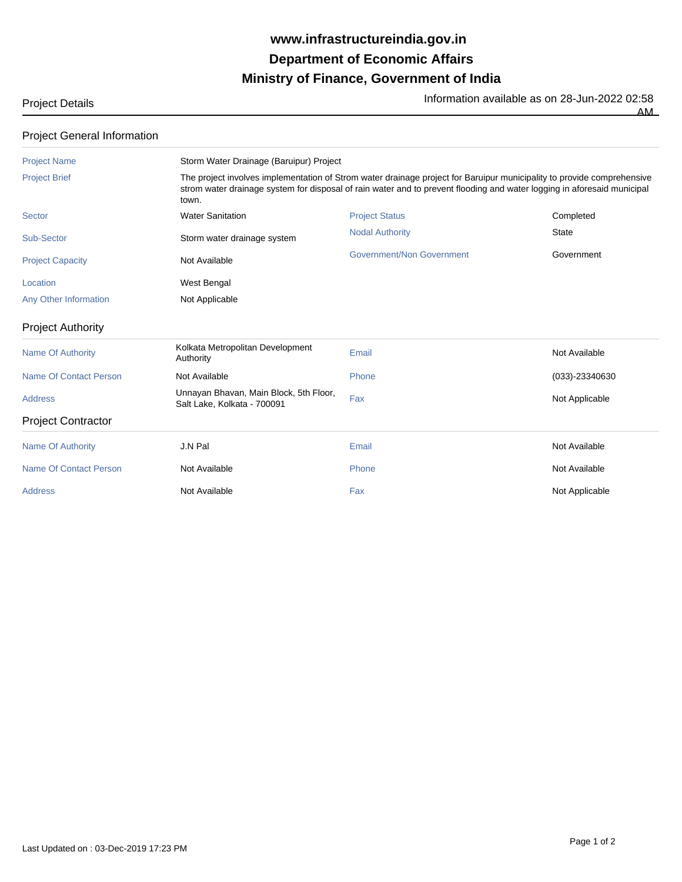## **Ministry of Finance, Government of India Department of Economic Affairs www.infrastructureindia.gov.in**

Project Details **Information available as on 28-Jun-2022 02:58** 

AM

| <b>Project General Information</b> |  |
|------------------------------------|--|
|------------------------------------|--|

| <b>Project Name</b>           | Storm Water Drainage (Baruipur) Project                                                                                                                                                                                                                    |                           |                |  |
|-------------------------------|------------------------------------------------------------------------------------------------------------------------------------------------------------------------------------------------------------------------------------------------------------|---------------------------|----------------|--|
| <b>Project Brief</b>          | The project involves implementation of Strom water drainage project for Baruipur municipality to provide comprehensive<br>strom water drainage system for disposal of rain water and to prevent flooding and water logging in aforesaid municipal<br>town. |                           |                |  |
| Sector                        | <b>Water Sanitation</b>                                                                                                                                                                                                                                    | <b>Project Status</b>     | Completed      |  |
| Sub-Sector                    | Storm water drainage system                                                                                                                                                                                                                                | <b>Nodal Authority</b>    | State          |  |
| <b>Project Capacity</b>       | Not Available                                                                                                                                                                                                                                              | Government/Non Government | Government     |  |
| Location                      | West Bengal                                                                                                                                                                                                                                                |                           |                |  |
| Any Other Information         | Not Applicable                                                                                                                                                                                                                                             |                           |                |  |
| <b>Project Authority</b>      |                                                                                                                                                                                                                                                            |                           |                |  |
| Name Of Authority             | Kolkata Metropolitan Development<br>Authority                                                                                                                                                                                                              | Email                     | Not Available  |  |
| Name Of Contact Person        | Not Available                                                                                                                                                                                                                                              | Phone                     | (033)-23340630 |  |
| <b>Address</b>                | Unnayan Bhavan, Main Block, 5th Floor,<br>Salt Lake, Kolkata - 700091                                                                                                                                                                                      | Fax                       | Not Applicable |  |
| <b>Project Contractor</b>     |                                                                                                                                                                                                                                                            |                           |                |  |
| <b>Name Of Authority</b>      | J.N Pal                                                                                                                                                                                                                                                    | Email                     | Not Available  |  |
| <b>Name Of Contact Person</b> | Not Available                                                                                                                                                                                                                                              | Phone                     | Not Available  |  |
| <b>Address</b>                | Not Available                                                                                                                                                                                                                                              | Fax                       | Not Applicable |  |